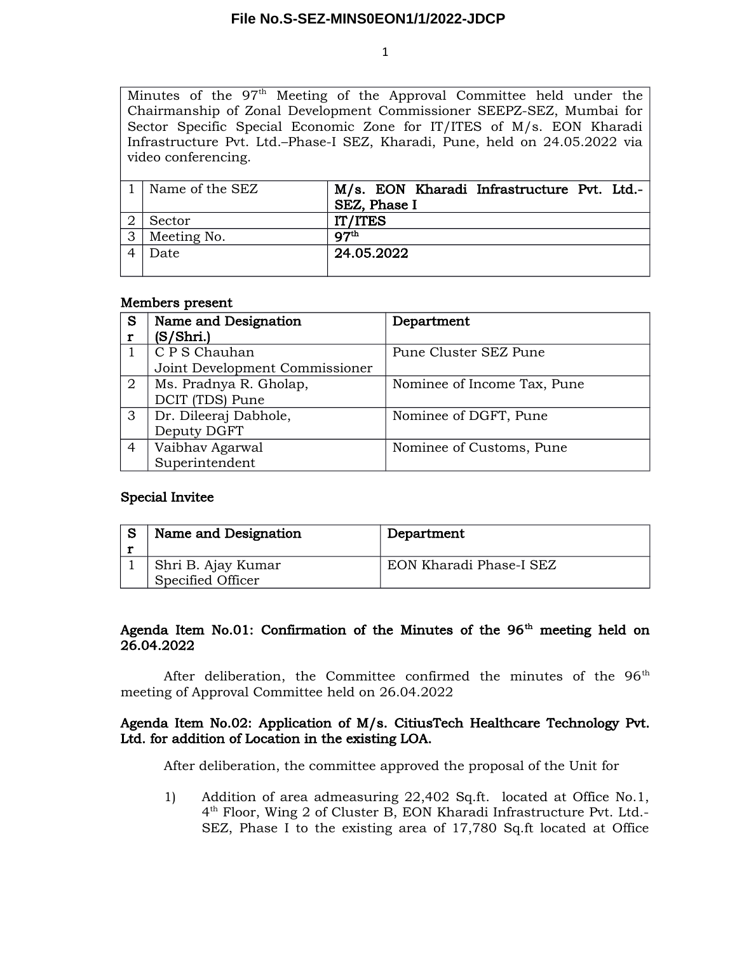1

Minutes of the 97<sup>th</sup> Meeting of the Approval Committee held under the Chairmanship of Zonal Development Commissioner SEEPZ-SEZ, Mumbai for Sector Specific Special Economic Zone for IT/ITES of M/s. EON Kharadi Infrastructure Pvt. Ltd.–Phase-I SEZ, Kharadi, Pune, held on 24.05.2022 via video conferencing.

|   | Name of the SEZ | M/s. EON Kharadi Infrastructure Pvt. Ltd.- |
|---|-----------------|--------------------------------------------|
|   |                 | SEZ, Phase I                               |
|   | Sector          | IT/ITES                                    |
| 3 | Meeting No.     | $Q^{\text{th}}$                            |
|   | Date            | 24.05.2022                                 |
|   |                 |                                            |

#### Members present

| S              | Name and Designation           | Department                  |
|----------------|--------------------------------|-----------------------------|
|                | (S/Shri.)                      |                             |
|                | C P S Chauhan                  | Pune Cluster SEZ Pune       |
|                | Joint Development Commissioner |                             |
| $\overline{2}$ | Ms. Pradnya R. Gholap,         | Nominee of Income Tax, Pune |
|                | DCIT (TDS) Pune                |                             |
| 3              | Dr. Dileeraj Dabhole,          | Nominee of DGFT, Pune       |
|                | Deputy DGFT                    |                             |
| 4              | Vaibhav Agarwal                | Nominee of Customs, Pune    |
|                | Superintendent                 |                             |

# Special Invitee

| Name and Designation                    | Department              |
|-----------------------------------------|-------------------------|
| Shri B. Ajay Kumar<br>Specified Officer | EON Kharadi Phase-I SEZ |

# Agenda Item No.01: Confirmation of the Minutes of the  $96<sup>th</sup>$  meeting held on 26.04.2022

After deliberation, the Committee confirmed the minutes of the  $96<sup>th</sup>$ meeting of Approval Committee held on 26.04.2022

# Agenda Item No.02: Application of M/s. CitiusTech Healthcare Technology Pvt. Ltd. for addition of Location in the existing LOA.

After deliberation, the committee approved the proposal of the Unit for

1) Addition of area admeasuring 22,402 Sq.ft. located at Office No.1, 4 th Floor, Wing 2 of Cluster B, EON Kharadi Infrastructure Pvt. Ltd.- SEZ, Phase I to the existing area of 17,780 Sq.ft located at Office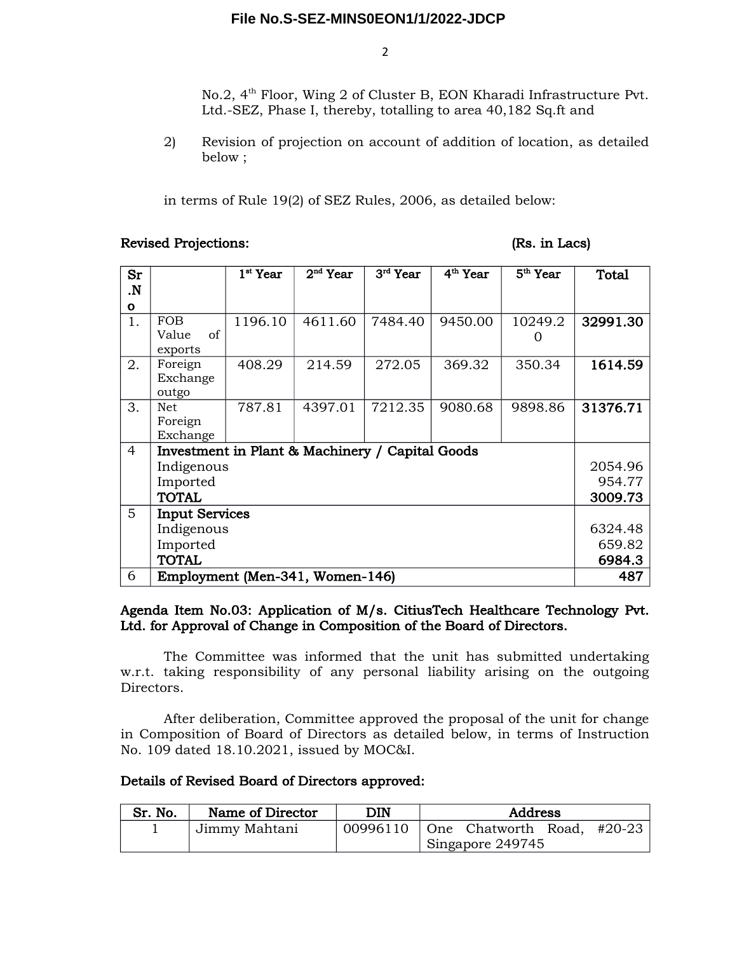2

No.2, 4<sup>th</sup> Floor, Wing 2 of Cluster B, EON Kharadi Infrastructure Pvt. Ltd.-SEZ, Phase I, thereby, totalling to area 40,182 Sq.ft and

2) Revision of projection on account of addition of location, as detailed below ;

in terms of Rule 19(2) of SEZ Rules, 2006, as detailed below:

#### Revised Projections: (Rs. in Lacs)

| Sr             |                                                 | $1st$ Year | $2nd$ Year | $3rd$ Year | 4 <sup>th</sup> Year | 5 <sup>th</sup> Year | <b>Total</b> |
|----------------|-------------------------------------------------|------------|------------|------------|----------------------|----------------------|--------------|
| $\mathbf{N}$   |                                                 |            |            |            |                      |                      |              |
| $\mathbf{o}$   |                                                 |            |            |            |                      |                      |              |
| 1.             | <b>FOB</b>                                      | 1196.10    | 4611.60    | 7484.40    | 9450.00              | 10249.2              | 32991.30     |
|                | of<br>Value                                     |            |            |            |                      |                      |              |
|                | exports                                         |            |            |            |                      |                      |              |
| 2.             | Foreign                                         | 408.29     | 214.59     | 272.05     | 369.32               | 350.34               | 1614.59      |
|                | Exchange                                        |            |            |            |                      |                      |              |
|                | outgo                                           |            |            |            |                      |                      |              |
| 3.             | Net                                             | 787.81     | 4397.01    | 7212.35    | 9080.68              | 9898.86              | 31376.71     |
|                | Foreign                                         |            |            |            |                      |                      |              |
|                | Exchange                                        |            |            |            |                      |                      |              |
| $\overline{4}$ | Investment in Plant & Machinery / Capital Goods |            |            |            |                      |                      |              |
|                | Indigenous                                      |            |            |            |                      |                      | 2054.96      |
|                | Imported                                        |            |            |            |                      |                      | 954.77       |
|                | <b>TOTAL</b>                                    |            |            |            |                      | 3009.73              |              |
| $5^{\circ}$    | <b>Input Services</b>                           |            |            |            |                      |                      |              |
|                | Indigenous                                      |            |            |            |                      | 6324.48              |              |
|                | Imported                                        |            |            |            |                      | 659.82               |              |
|                | <b>TOTAL</b>                                    |            |            |            | 6984.3               |                      |              |
| 6              | Employment (Men-341, Women-146)                 |            |            |            | 487                  |                      |              |

# Agenda Item No.03: Application of M/s. CitiusTech Healthcare Technology Pvt. Ltd. for Approval of Change in Composition of the Board of Directors.

The Committee was informed that the unit has submitted undertaking w.r.t. taking responsibility of any personal liability arising on the outgoing Directors.

After deliberation, Committee approved the proposal of the unit for change in Composition of Board of Directors as detailed below, in terms of Instruction No. 109 dated 18.10.2021, issued by MOC&I.

# Details of Revised Board of Directors approved:

| Sr. No. | Name of Director | DIN      | Address          |                                    |  |  |
|---------|------------------|----------|------------------|------------------------------------|--|--|
|         | Jimmy Mahtani    | 00996110 |                  | $\vert$ One Chatworth Road, #20-23 |  |  |
|         |                  |          | Singapore 249745 |                                    |  |  |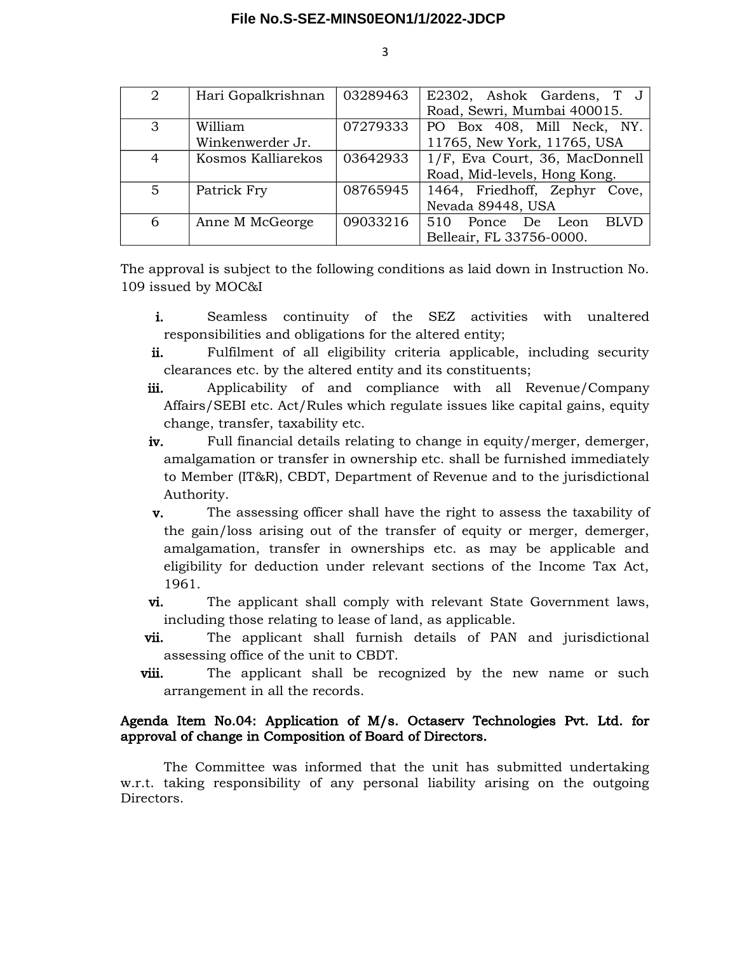| 2              | Hari Gopalkrishnan | 03289463 | E2302, Ashok Gardens, T J              |  |
|----------------|--------------------|----------|----------------------------------------|--|
|                |                    |          | Road, Sewri, Mumbai 400015.            |  |
| 3              | William            | 07279333 | PO Box 408, Mill Neck, NY.             |  |
|                | Winkenwerder Jr.   |          | 11765, New York, 11765, USA            |  |
| $\overline{4}$ | Kosmos Kalliarekos | 03642933 | 1/F, Eva Court, 36, MacDonnell         |  |
|                |                    |          | Road, Mid-levels, Hong Kong.           |  |
| 5              | Patrick Fry        | 08765945 | 1464, Friedhoff, Zephyr Cove,          |  |
|                |                    |          | Nevada 89448, USA                      |  |
| 6              | Anne M McGeorge    | 09033216 | <b>BLVD</b><br>510<br>Ponce De<br>Leon |  |
|                |                    |          | Belleair, FL 33756-0000.               |  |

The approval is subject to the following conditions as laid down in Instruction No. 109 issued by MOC&I

- i. Seamless continuity of the SEZ activities with unaltered responsibilities and obligations for the altered entity;
- ii. Fulfilment of all eligibility criteria applicable, including security clearances etc. by the altered entity and its constituents;
- iii. Applicability of and compliance with all Revenue/Company Affairs/SEBI etc. Act/Rules which regulate issues like capital gains, equity change, transfer, taxability etc.
- iv. Full financial details relating to change in equity/merger, demerger, amalgamation or transfer in ownership etc. shall be furnished immediately to Member (IT&R), CBDT, Department of Revenue and to the jurisdictional Authority.
- v. The assessing officer shall have the right to assess the taxability of the gain/loss arising out of the transfer of equity or merger, demerger, amalgamation, transfer in ownerships etc. as may be applicable and eligibility for deduction under relevant sections of the Income Tax Act, 1961.
- vi. The applicant shall comply with relevant State Government laws, including those relating to lease of land, as applicable.
- vii. The applicant shall furnish details of PAN and jurisdictional assessing office of the unit to CBDT.
- viii. The applicant shall be recognized by the new name or such arrangement in all the records.

### Agenda Item No.04: Application of M/s. Octaserv Technologies Pvt. Ltd. for approval of change in Composition of Board of Directors.

The Committee was informed that the unit has submitted undertaking w.r.t. taking responsibility of any personal liability arising on the outgoing Directors.

3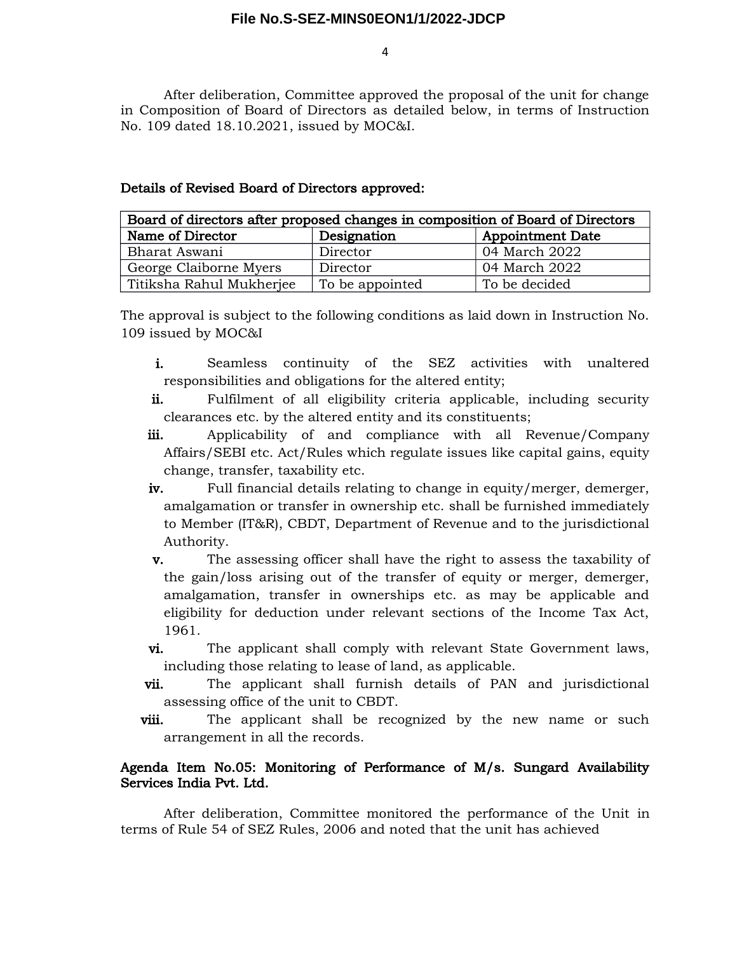4

After deliberation, Committee approved the proposal of the unit for change in Composition of Board of Directors as detailed below, in terms of Instruction No. 109 dated 18.10.2021, issued by MOC&I.

| Board of directors after proposed changes in composition of Board of Directors |                 |               |  |  |
|--------------------------------------------------------------------------------|-----------------|---------------|--|--|
| Name of Director<br>Designation<br><b>Appointment Date</b>                     |                 |               |  |  |
| Bharat Aswani                                                                  | Director        | 04 March 2022 |  |  |
| George Claiborne Myers                                                         | Director        | 04 March 2022 |  |  |
| Titiksha Rahul Mukherjee                                                       | To be appointed | To be decided |  |  |

# Details of Revised Board of Directors approved:

The approval is subject to the following conditions as laid down in Instruction No. 109 issued by MOC&I

- i. Seamless continuity of the SEZ activities with unaltered responsibilities and obligations for the altered entity;
- ii. Fulfilment of all eligibility criteria applicable, including security clearances etc. by the altered entity and its constituents;
- iii. Applicability of and compliance with all Revenue/Company Affairs/SEBI etc. Act/Rules which regulate issues like capital gains, equity change, transfer, taxability etc.
- iv. Full financial details relating to change in equity/merger, demerger, amalgamation or transfer in ownership etc. shall be furnished immediately to Member (IT&R), CBDT, Department of Revenue and to the jurisdictional Authority.
- v. The assessing officer shall have the right to assess the taxability of the gain/loss arising out of the transfer of equity or merger, demerger, amalgamation, transfer in ownerships etc. as may be applicable and eligibility for deduction under relevant sections of the Income Tax Act, 1961.
- vi. The applicant shall comply with relevant State Government laws, including those relating to lease of land, as applicable.
- vii. The applicant shall furnish details of PAN and jurisdictional assessing office of the unit to CBDT.
- viii. The applicant shall be recognized by the new name or such arrangement in all the records.

# Agenda Item No.05: Monitoring of Performance of M/s. Sungard Availability Services India Pvt. Ltd.

After deliberation, Committee monitored the performance of the Unit in terms of Rule 54 of SEZ Rules, 2006 and noted that the unit has achieved